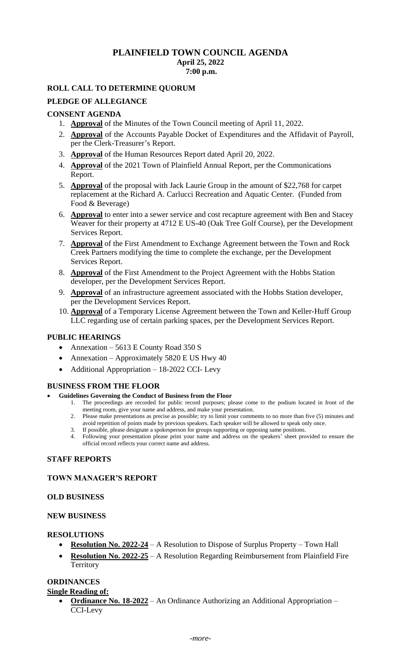# **PLAINFIELD TOWN COUNCIL AGENDA April 25, 2022 7:00 p.m.**

# **ROLL CALL TO DETERMINE QUORUM**

### **PLEDGE OF ALLEGIANCE**

### **CONSENT AGENDA**

- 1. **Approval** of the Minutes of the Town Council meeting of April 11, 2022.
- 2. **Approval** of the Accounts Payable Docket of Expenditures and the Affidavit of Payroll, per the Clerk-Treasurer's Report.
- 3. **Approval** of the Human Resources Report dated April 20, 2022.
- 4. **Approval** of the 2021 Town of Plainfield Annual Report, per the Communications Report.
- 5. **Approval** of the proposal with Jack Laurie Group in the amount of \$22,768 for carpet replacement at the Richard A. Carlucci Recreation and Aquatic Center. (Funded from Food & Beverage)
- 6. **Approval** to enter into a sewer service and cost recapture agreement with Ben and Stacey Weaver for their property at 4712 E US-40 (Oak Tree Golf Course), per the Development Services Report.
- 7. **Approval** of the First Amendment to Exchange Agreement between the Town and Rock Creek Partners modifying the time to complete the exchange, per the Development Services Report.
- 8. **Approval** of the First Amendment to the Project Agreement with the Hobbs Station developer, per the Development Services Report.
- 9. **Approval** of an infrastructure agreement associated with the Hobbs Station developer, per the Development Services Report.
- 10. **Approval** of a Temporary License Agreement between the Town and Keller-Huff Group LLC regarding use of certain parking spaces, per the Development Services Report.

## **PUBLIC HEARINGS**

- Annexation 5613 E County Road 350 S
- Annexation Approximately 5820 E US Hwy 40
- Additional Appropriation 18-2022 CCI- Levy

## **BUSINESS FROM THE FLOOR**

### • **Guidelines Governing the Conduct of Business from the Floor**

- 1. The proceedings are recorded for public record purposes; please come to the podium located in front of the meeting room, give your name and address, and make your presentation.
- 2. Please make presentations as precise as possible; try to limit your comments to no more than five (5) minutes and avoid repetition of points made by previous speakers. Each speaker will be allowed to speak only once.
- 3. If possible, please designate a spokesperson for groups supporting or opposing same positions.
- 4. Following your presentation please print your name and address on the speakers' sheet provided to ensure the official record reflects your correct name and address.

### **STAFF REPORTS**

## **TOWN MANAGER'S REPORT**

### **OLD BUSINESS**

### **NEW BUSINESS**

### **RESOLUTIONS**

- **Resolution No. 2022-24** A Resolution to Dispose of Surplus Property Town Hall
- **Resolution No. 2022-25** A Resolution Regarding Reimbursement from Plainfield Fire **Territory**

# **ORDINANCES**

### **Single Reading of:**

• **Ordinance No. 18-2022** – An Ordinance Authorizing an Additional Appropriation – CCI-Levy